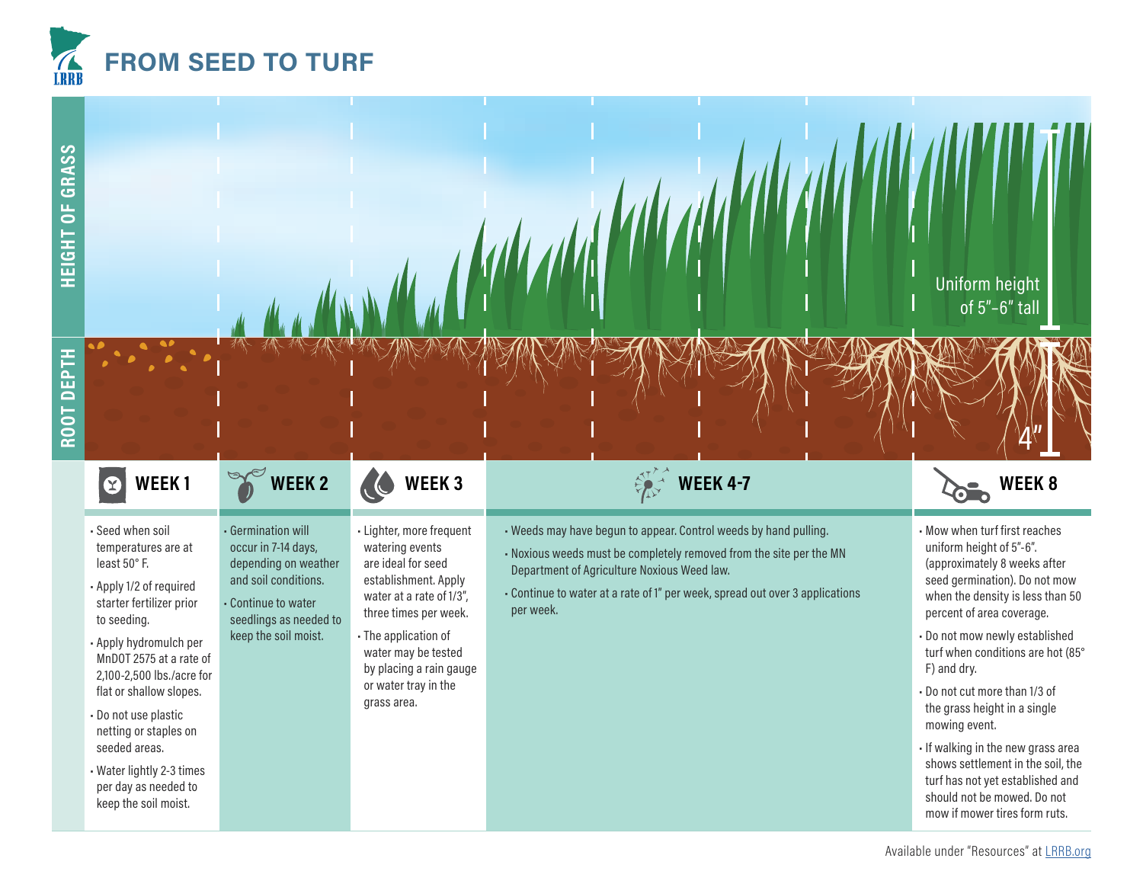



## $\ddot{\mathbf{C}}$

- Seed when soil temperatures are at least 50° F.
- Apply 1/2 of required starter fertilizer prior to seeding.
- Apply hydromulch per MnDOT 2575 at a rate of 2,100-2,500 lbs./acre for flat or shallow slopes.
- Do not use plastic netting or staples on seeded areas.
- Water lightly 2-3 times per day as needed to keep the soil moist.

• Germination will occur in 7-14 days, depending on weather and soil conditions.

• Continue to water seedlings as needed to keep the soil moist.

- Lighter, more frequent watering events are ideal for seed establishment. Apply water at a rate of 1/3", three times per week.
- The application of water may be tested by placing a rain gauge or water tray in the grass area.

- Weeds may have begun to appear. Control weeds by hand pulling.
- Noxious weeds must be completely removed from the site per the MN Department of Agriculture Noxious Weed law.
- Continue to water at a rate of 1" per week, spread out over 3 applications per week.



- Mow when turf first reaches uniform height of 5"-6". (approximately 8 weeks after seed germination). Do not mow when the density is less than 50 percent of area coverage.
- Do not mow newly established turf when conditions are hot (85° F) and dry.
- Do not cut more than 1/3 of the grass height in a single mowing event.
- If walking in the new grass area shows settlement in the soil, the turf has not yet established and should not be mowed. Do not mow if mower tires form ruts.